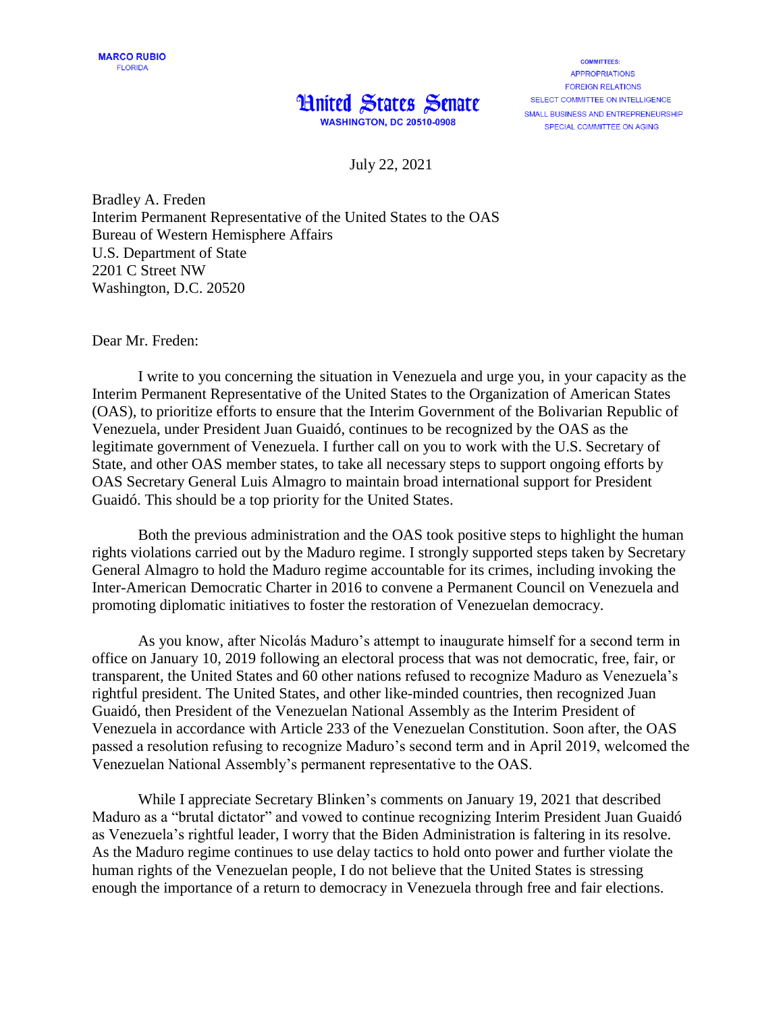## **Hnited States Senate**

**WASHINGTON, DC 20510-0908** 

**COMMITTEES: APPROPRIATIONS FORFIGN RELATIONS** SELECT COMMITTEE ON INTELLIGENCE SMALL BUSINESS AND ENTREPRENEURSHIP SPECIAL COMMITTEE ON AGING

July 22, 2021

Bradley A. Freden Interim Permanent Representative of the United States to the OAS Bureau of Western Hemisphere Affairs U.S. Department of State 2201 C Street NW Washington, D.C. 20520

Dear Mr. Freden:

I write to you concerning the situation in Venezuela and urge you, in your capacity as the Interim Permanent Representative of the United States to the Organization of American States (OAS), to prioritize efforts to ensure that the Interim Government of the Bolivarian Republic of Venezuela, under President Juan Guaidó, continues to be recognized by the OAS as the legitimate government of Venezuela. I further call on you to work with the U.S. Secretary of State, and other OAS member states, to take all necessary steps to support ongoing efforts by OAS Secretary General Luis Almagro to maintain broad international support for President Guaidó. This should be a top priority for the United States.

Both the previous administration and the OAS took positive steps to highlight the human rights violations carried out by the Maduro regime. I strongly supported steps taken by Secretary General Almagro to hold the Maduro regime accountable for its crimes, including invoking the Inter-American Democratic Charter in 2016 to convene a Permanent Council on Venezuela and promoting diplomatic initiatives to foster the restoration of Venezuelan democracy.

As you know, after Nicolás Maduro's attempt to inaugurate himself for a second term in office on January 10, 2019 following an electoral process that was not democratic, free, fair, or transparent, the United States and 60 other nations refused to recognize Maduro as Venezuela's rightful president. The United States, and other like-minded countries, then recognized Juan Guaidó, then President of the Venezuelan National Assembly as the Interim President of Venezuela in accordance with Article 233 of the Venezuelan Constitution. Soon after, the OAS passed a resolution refusing to recognize Maduro's second term and in April 2019, welcomed the Venezuelan National Assembly's permanent representative to the OAS.

While I appreciate Secretary Blinken's comments on January 19, 2021 that described Maduro as a "brutal dictator" and vowed to continue recognizing Interim President Juan Guaidó as Venezuela's rightful leader, I worry that the Biden Administration is faltering in its resolve. As the Maduro regime continues to use delay tactics to hold onto power and further violate the human rights of the Venezuelan people, I do not believe that the United States is stressing enough the importance of a return to democracy in Venezuela through free and fair elections.